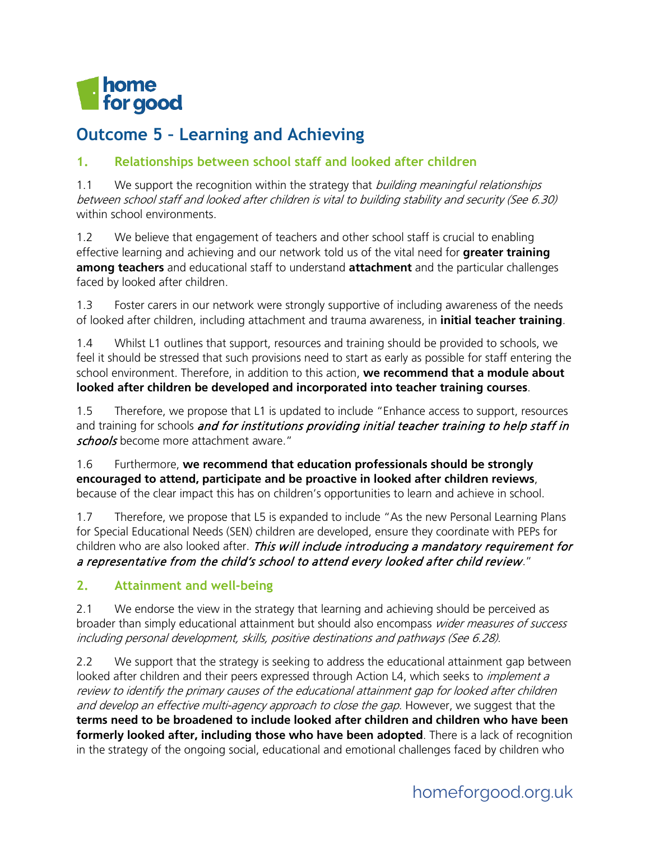

# **Outcome 5 – Learning and Achieving**

### **1. Relationships between school staff and looked after children**

1.1 We support the recognition within the strategy that *building meaningful relationships* between school staff and looked after children is vital to building stability and security (See 6.30) within school environments.

1.2 We believe that engagement of teachers and other school staff is crucial to enabling effective learning and achieving and our network told us of the vital need for **greater training among teachers** and educational staff to understand **attachment** and the particular challenges faced by looked after children.

1.3 Foster carers in our network were strongly supportive of including awareness of the needs of looked after children, including attachment and trauma awareness, in **initial teacher training**.

1.4 Whilst L1 outlines that support, resources and training should be provided to schools, we feel it should be stressed that such provisions need to start as early as possible for staff entering the school environment. Therefore, in addition to this action, **we recommend that a module about looked after children be developed and incorporated into teacher training courses**.

1.5 Therefore, we propose that L1 is updated to include "Enhance access to support, resources and training for schools and for institutions providing initial teacher training to help staff in schools become more attachment aware."

1.6 Furthermore, **we recommend that education professionals should be strongly encouraged to attend, participate and be proactive in looked after children reviews**, because of the clear impact this has on children's opportunities to learn and achieve in school.

1.7 Therefore, we propose that L5 is expanded to include "As the new Personal Learning Plans for Special Educational Needs (SEN) children are developed, ensure they coordinate with PEPs for children who are also looked after. This will include introducing a mandatory requirement for a representative from the child's school to attend every looked after child review."

#### **2. Attainment and well-being**

2.1 We endorse the view in the strategy that learning and achieving should be perceived as broader than simply educational attainment but should also encompass wider measures of success including personal development, skills, positive destinations and pathways (See 6.28).

2.2 We support that the strategy is seeking to address the educational attainment gap between looked after children and their peers expressed through Action L4, which seeks to *implement a* review to identify the primary causes of the educational attainment gap for looked after children and develop an effective multi-agency approach to close the gap. However, we suggest that the **terms need to be broadened to include looked after children and children who have been formerly looked after, including those who have been adopted**. There is a lack of recognition in the strategy of the ongoing social, educational and emotional challenges faced by children who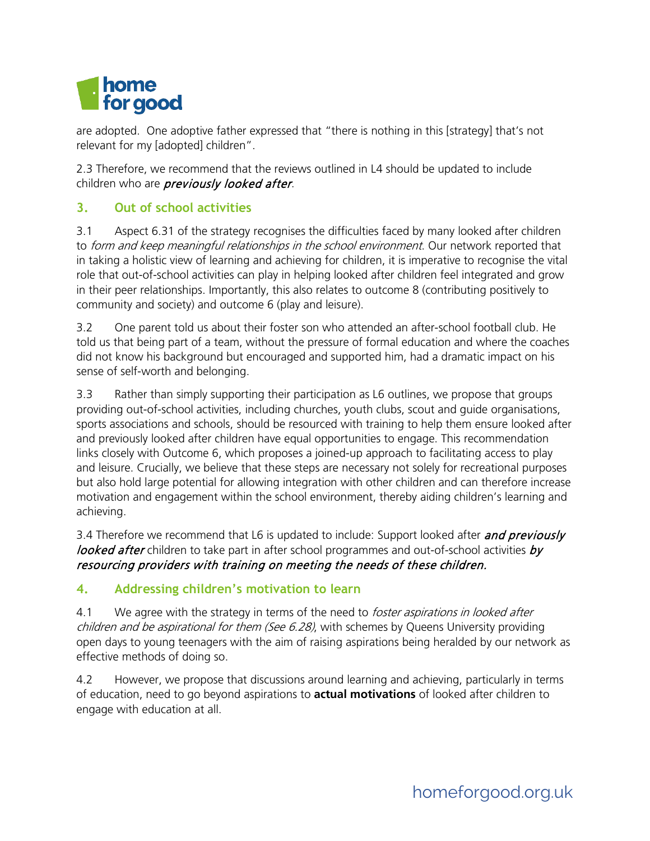

are adopted. One adoptive father expressed that "there is nothing in this [strategy] that's not relevant for my [adopted] children".

2.3 Therefore, we recommend that the reviews outlined in L4 should be updated to include children who are *previously looked after*.

### **3. Out of school activities**

3.1 Aspect 6.31 of the strategy recognises the difficulties faced by many looked after children to form and keep meaningful relationships in the school environment. Our network reported that in taking a holistic view of learning and achieving for children, it is imperative to recognise the vital role that out-of-school activities can play in helping looked after children feel integrated and grow in their peer relationships. Importantly, this also relates to outcome 8 (contributing positively to community and society) and outcome 6 (play and leisure).

3.2 One parent told us about their foster son who attended an after-school football club. He told us that being part of a team, without the pressure of formal education and where the coaches did not know his background but encouraged and supported him, had a dramatic impact on his sense of self-worth and belonging.

3.3 Rather than simply supporting their participation as L6 outlines, we propose that groups providing out-of-school activities, including churches, youth clubs, scout and guide organisations, sports associations and schools, should be resourced with training to help them ensure looked after and previously looked after children have equal opportunities to engage. This recommendation links closely with Outcome 6, which proposes a joined-up approach to facilitating access to play and leisure. Crucially, we believe that these steps are necessary not solely for recreational purposes but also hold large potential for allowing integration with other children and can therefore increase motivation and engagement within the school environment, thereby aiding children's learning and achieving.

3.4 Therefore we recommend that L6 is updated to include: Support looked after and previously looked after children to take part in after school programmes and out-of-school activities by resourcing providers with training on meeting the needs of these children.

#### **4. Addressing children's motivation to learn**

4.1 We agree with the strategy in terms of the need to *foster aspirations in looked after children and be aspirational for them (See 6.28)*, with schemes by Queens University providing open days to young teenagers with the aim of raising aspirations being heralded by our network as effective methods of doing so.

4.2 However, we propose that discussions around learning and achieving, particularly in terms of education, need to go beyond aspirations to **actual motivations** of looked after children to engage with education at all.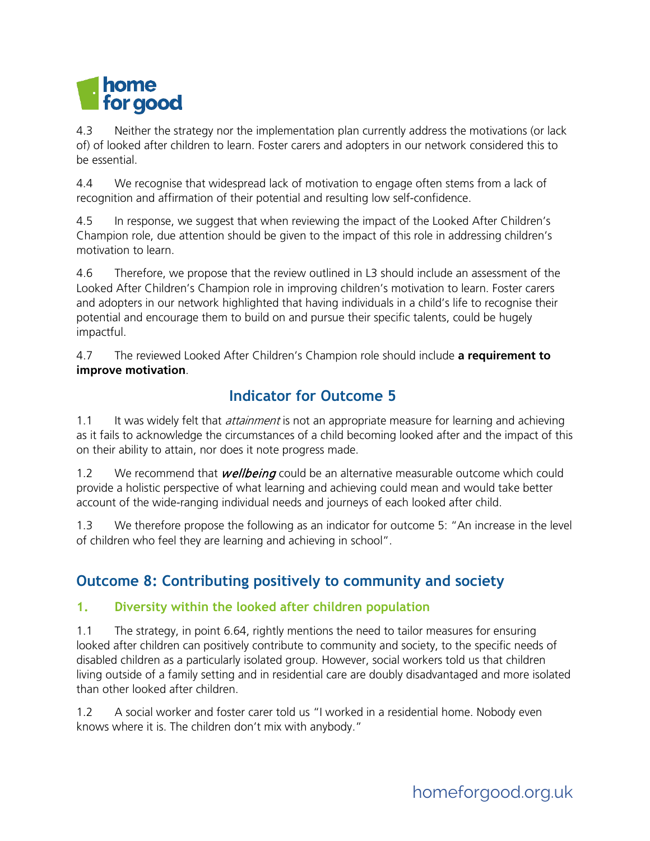

4.3 Neither the strategy nor the implementation plan currently address the motivations (or lack of) of looked after children to learn. Foster carers and adopters in our network considered this to be essential.

4.4 We recognise that widespread lack of motivation to engage often stems from a lack of recognition and affirmation of their potential and resulting low self-confidence.

4.5 In response, we suggest that when reviewing the impact of the Looked After Children's Champion role, due attention should be given to the impact of this role in addressing children's motivation to learn.

4.6 Therefore, we propose that the review outlined in L3 should include an assessment of the Looked After Children's Champion role in improving children's motivation to learn. Foster carers and adopters in our network highlighted that having individuals in a child's life to recognise their potential and encourage them to build on and pursue their specific talents, could be hugely impactful.

4.7 The reviewed Looked After Children's Champion role should include **a requirement to improve motivation**.

## **Indicator for Outcome 5**

1.1 It was widely felt that *attainment* is not an appropriate measure for learning and achieving as it fails to acknowledge the circumstances of a child becoming looked after and the impact of this on their ability to attain, nor does it note progress made.

1.2 We recommend that *wellbeing* could be an alternative measurable outcome which could provide a holistic perspective of what learning and achieving could mean and would take better account of the wide-ranging individual needs and journeys of each looked after child.

1.3 We therefore propose the following as an indicator for outcome 5: "An increase in the level of children who feel they are learning and achieving in school".

## **Outcome 8: Contributing positively to community and society**

### **1. Diversity within the looked after children population**

1.1 The strategy, in point 6.64, rightly mentions the need to tailor measures for ensuring looked after children can positively contribute to community and society, to the specific needs of disabled children as a particularly isolated group. However, social workers told us that children living outside of a family setting and in residential care are doubly disadvantaged and more isolated than other looked after children.

1.2 A social worker and foster carer told us "I worked in a residential home. Nobody even knows where it is. The children don't mix with anybody."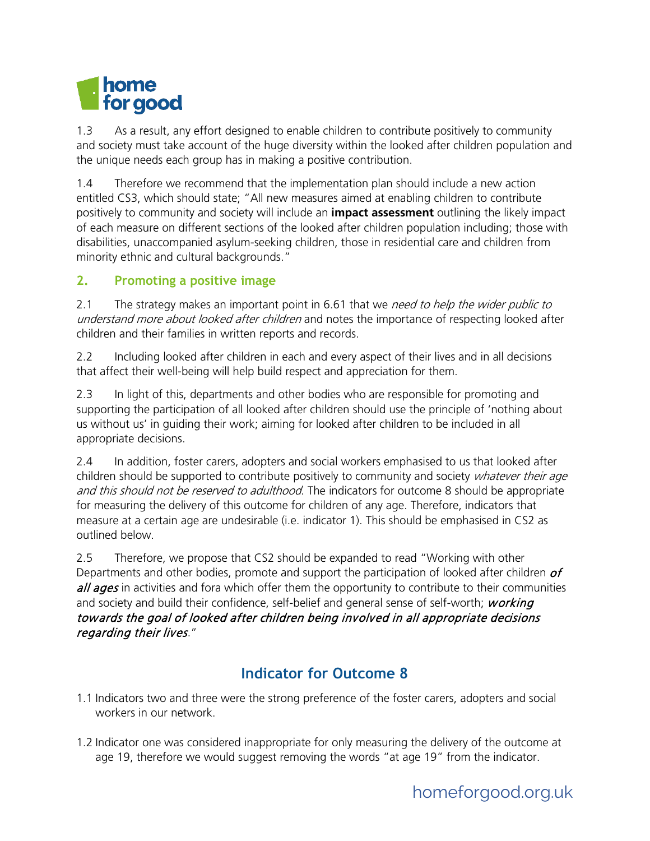

1.3 As a result, any effort designed to enable children to contribute positively to community and society must take account of the huge diversity within the looked after children population and the unique needs each group has in making a positive contribution.

1.4 Therefore we recommend that the implementation plan should include a new action entitled CS3, which should state; "All new measures aimed at enabling children to contribute positively to community and society will include an **impact assessment** outlining the likely impact of each measure on different sections of the looked after children population including; those with disabilities, unaccompanied asylum-seeking children, those in residential care and children from minority ethnic and cultural backgrounds."

#### **2. Promoting a positive image**

2.1 The strategy makes an important point in 6.61 that we need to help the wider public to understand more about looked after children and notes the importance of respecting looked after children and their families in written reports and records.

2.2 Including looked after children in each and every aspect of their lives and in all decisions that affect their well-being will help build respect and appreciation for them.

2.3 In light of this, departments and other bodies who are responsible for promoting and supporting the participation of all looked after children should use the principle of 'nothing about us without us' in guiding their work; aiming for looked after children to be included in all appropriate decisions.

2.4 In addition, foster carers, adopters and social workers emphasised to us that looked after children should be supported to contribute positively to community and society whatever their age and this should not be reserved to adulthood. The indicators for outcome 8 should be appropriate for measuring the delivery of this outcome for children of any age. Therefore, indicators that measure at a certain age are undesirable (i.e. indicator 1). This should be emphasised in CS2 as outlined below.

2.5 Therefore, we propose that CS2 should be expanded to read "Working with other Departments and other bodies, promote and support the participation of looked after children  $of$ all ages in activities and fora which offer them the opportunity to contribute to their communities and society and build their confidence, self-belief and general sense of self-worth; working towards the goal of looked after children being involved in all appropriate decisions regarding their lives."

### **Indicator for Outcome 8**

- 1.1 Indicators two and three were the strong preference of the foster carers, adopters and social workers in our network
- 1.2 Indicator one was considered inappropriate for only measuring the delivery of the outcome at age 19, therefore we would suggest removing the words "at age 19" from the indicator.